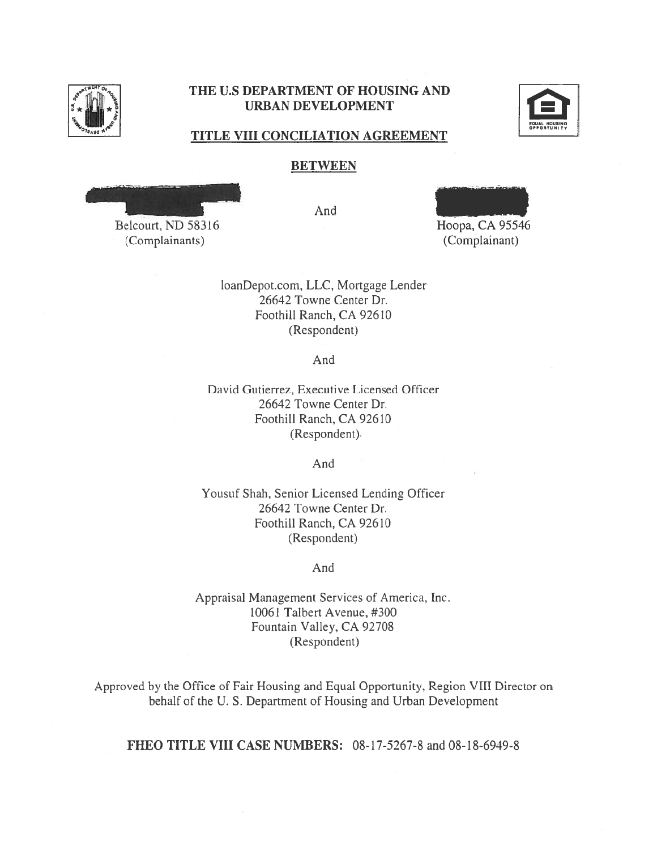

## THE U.S DEPARTMENT OF HOUSING AND THE U.S DEPARTMENT OF HOUSING AND URBAN DEVELOPMENT URBAN DEVELOPMENT



#### TITLE VIII CONCILIATION AGREEMENT TITLE VIII CONCILIATION AGREEMENT

#### BETWEEN BETWEEN

Belcourt, ND 58316

(Complainants) (Complainant) (Complainants)

And And



Hoopa, CA 95546 Hoopa, CA 95546 (Complainant)

loanDepot.com, LLC, Mortgage Lender loanDepot.com, LLC, Mortgage Lender 26642 Towne Center Dr. 26642 Towne Center Dr. Foothill Ranch, CA 92610 Foothill Ranch, CA 92610 (Respondent) (Respondent)

And And

David Gutierrez, Executive Licensed Officer David Gutierrez, Executive Licensed Officer 26642 Towne Center Dr. 26642 Towne Center Dr. Foothill Ranch, CA 92610 Foothill Ranch, CA 92610 (Respondent). (Respondent)

And And

Yousuf Shah, Senior Licensed Lending Officer Yousuf Shah, Senior Licensed Lending Officer 26642 Towne Center Dr. 26642 Towne Center Dr. Foothill Ranch, CA 92610 Foothill Ranch, CA 92610 (Respondent) (Respondent)

#### And And

Appraisal Management Services of America, Inc. Appraisal Management Services of America, Inc. 10061 Talbert Avenue, #300 10061 Talbert Avenue, #300 Fountain Valley, CA 92708 Fountain Valley, CA 9270\$ (Respondent) (Respondent)

Approved by the Office of Fair Housing and Equal Opportunity, Region VIII Director on Approved by the Office of Fair Housing and Equal Opportunity, Region VIII Director on behalf of the U. S. Department of Housing and Urban Development behalf of the U. S. Department of Housing and Urban Development

FHEO TITLE VIII CASE NUMBERS: 08-17-5267-8 and 08-18-6949-8 FHEO TITLE VIII CASE NUMBERS: 08-17-5267-8 and 08-18-6949-8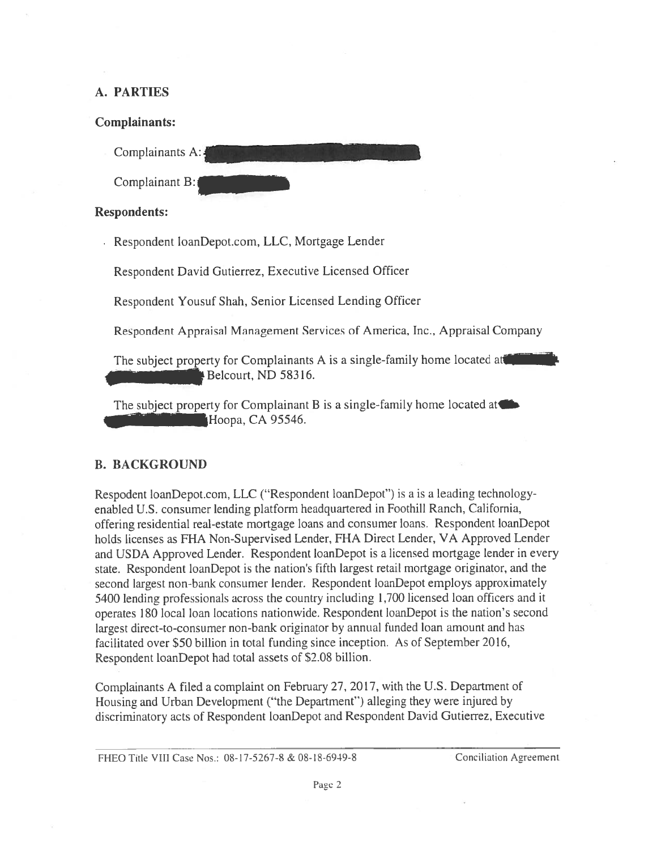## A. PARTIES A. PARTIES

## Complainants: Complainants:

Complainants A:111111111111111.11111111.111. Complainants A:

Complainant B:

## Respondents: Respondents:

• Respondent loanDepot.com, LLC, Mortgage Lender Respondent loanDepotcom, LLC, Mortgage Lender

Respondent David Gutierrez, Executive Licensed Officer

Respondent Yousuf Shah, Senior Licensed Lending Officer Respondent Yousuf Shah, Senior Licensed Lending Officer

Respondent Appraisal Management Services of America, Inc., Appraisal Company Respondent Appraisal Management Services of America, Inc., Appraisal Company

The subject property for Complainants A is a single-family home located at 41111111111.10 Belcourt, ND 58316. - Belcourt, ND 58316.

Belcourt, ND 38310.<br>The subject property for Complainant B is a single-family home located at Hoopa, CA 95546.

## B. BACKGROUND B. BACKGROUND

Respodent loanDepot.com, LLC ("Respondent loanDepot") is a is a leading technologyenabled U.S. consumer lending platform headquartered in Foothill Ranch, California, offering residential real-estate mortgage loans and consumer loans. Respondent loanDepot offering residential real-estate mortgage loans and consumer loans. Respondent loanDepot holds licenses as FHA Non-Supervised Lender, FHA Direct Lender, VA Approved Lender and USDA Approved Lender. Respondent loanDepot is a licensed mortgage lender in every and USDA Approved Lender. Respondent loanDepot is a licensed mortgage lender in every state. Respondent loanDepot is the nation's fifth largest retail mortgage originator, and the state. Respondent loanDepot is the nation's fifth largest retail mortgage originator, and the second largest non-bank consumer lender. Respondent loanDepot employs approximately second largest non-bank consumer lender. Respondent loanDepot employs approximately 5400 lending professionals across the country including 1,700 licensed loan officers and it 5400 lending professionals across the country including 1,700 licensed loan officers and it operates 180 local loan locations nationwide. Respondent loanDepot is the nation's second operates 180 local loan locations nationwide. Respondent loanDepot is the nation's second largest direct-to-consumer non-bank originator by annual funded loan amount and has largest direct-to-consumer non-bank originator by annual funded loan amount and has facilitated over \$50 billion in total funding since inception. As of September 2016, facilitated over \$50 billion in total funding since inception. As of September 2016, Respondent loanDepot had total assets of \$2.08 billion. Respondent loanDepot had total assets of \$2.08 billion.

Complainants A filed a complaint on February 27, 2017, with the U.S. Department of Complainants A filed a complaint on February 27, 2017, with the U.S. Department of Housing and Urban Development ("the Department") alleging they were injured by Housing and Urban Development ("the Department') alleging they were injured by discriminatory acts of Respondent loanDepot and Respondent David Gutierrez, Executive discriminatory acts of Respondent loanDepot and Respondent David Gutierrez. Execcitive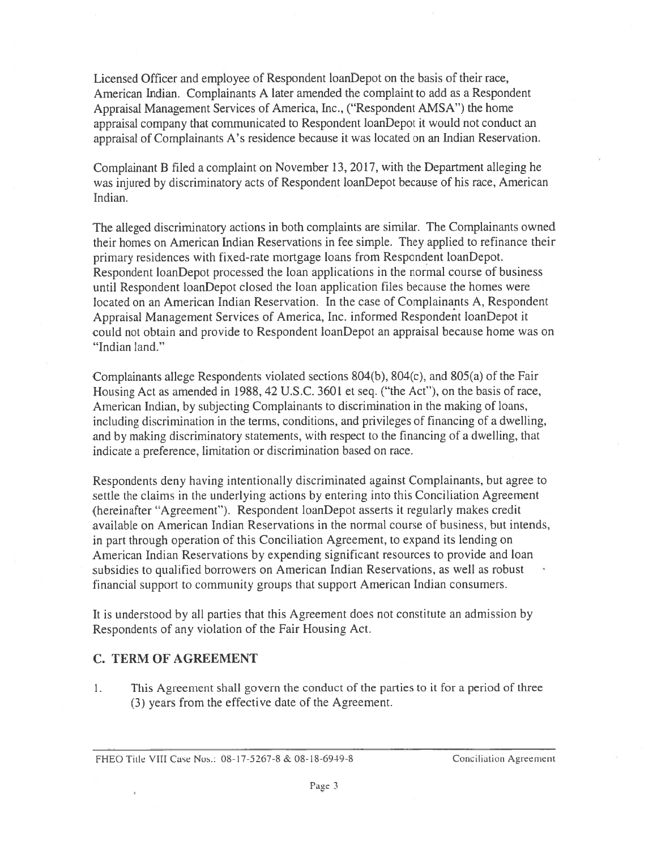Licensed Officer and employee of Respondent loanDepot on the basis of their race, Licensed Officer and employee of Respondent loanDepot on the basis of their race, American Indian. Complainants A later amended the complaint to add as a Respondent American Indian. Complainants A later amended the complaint to add as a Respondent Appraisal Management Services of America, Inc., ("Respondent AMSA") the home Appraisal Management Services of America, Inc., ("Respondent AMSA") the home appraisal company that communicated to Respondent loanDepot it would not conduct an appraisal company that communicated to Respondent loanDepot it would not conduct an appraisal of Complainants A's residence because it was located on an Indian Reservation. appraisal of Complainants A's residence because it was located on an Indian Reservation.

Complainant B filed a complaint on November 13, 2017, with the Department alleging he Complainant B filed a complaint on November 13, 2017, with the Department alleging he was injured by discriminatory acts of Respondent loanDepot because of his race, American was injured by discriminatory acts of Respondent loanDepot becacise of his race, American Indian. Indian.

The alleged discriminatory actions in both complaints are similar. The Complainants owned The alleged discriminatory actions in both complaints are similar. The Complainants owned their homes on American Indian Reservations in fee simple. They applied to refinance their their homes on American Indian Reservations in fee simple. They applied to refinance their primary residences with fixed-rate mortgage loans from Respondent loanDepot. primary residences with fixed-rate mortgage loans from Respondent loanDepot. Respondent loanDepot processed the loan applications in the normal course of business Respondent loanDepot processed the loan applications in the normal course of business until Respondent loanDepot closed the loan application files because the homes were until Respondent loanDepot closed the loan application files because the homes were located on an American Indian Reservation. In the case of Complainants A, Respondent located on an American Indian Reservation. In the case of Complainants A, Respondent Appraisal Management Services of America, Inc. informed Respondent loanDepot it Appraisal Management Services of America, Inc. informed Respondent loanDepot it could not obtain and provide to Respondent loanDepot an appraisal because home was on could not obtain and provide to Respondent loanDepot an appraisal because home was on "Indian land." "Indian land."

Complainants allege Respondents violated sections 804(b), 804(c), and 805(a) of the Fair Housing Act as amended in 1988, 42 U.S.C. 3601 et seq. ("the Act"), on the basis of race, Housing Act as amended in 1988, 42 U.S.C. 3601 et seq. ("the Act"), on the basis of race, American Indian, by subjecting Complainants to discrimination in the making of loans, American Indian, by subjecting Complainants to discrimination in the making of loans, including discrimination in the terms, conditions, and privileges of financing of a dwelling, including discrimination in the terms, conditions, and privileges of financing of a dwelling, and by making discriminatory statements, with respect to the financing of a dwelling, that and by making discriminatory statements, with respect to the financing of a dwelling, that indicate a preference, limitation or discrimination based on race. indicate a preference, limitation or discrimination based on race.

Respondents deny having intentionally discriminated against Complainants, but agree to Respondents deny having intentionally discriminated against Complainants, but agree to settle the claims in the underlying actions by entering into this Conciliation Agreement settle the claims in the underlying actions by entering into this Conciliation Agreement (hereinafter "Agreement"). Respondent loanDepot asserts it regularly makes credit (hereinafter "Agreement"). Respondent loanDepot asserts it regularly makes credit available on American Indian Reservations in the normal course of business, but intends, available on American Indian Reservations in the normal course of business, but intends, in part through operation of this Conciliation Agreement, to expand its lending on in part through operation of this Conciliation Agreement, to expand its lending on American Indian Reservations by expending significant resources to provide and loan American Indian Reservations by expending significant resources to provide and loan subsidies to qualified borrowers on American Indian Reservations, as well as robust subsidies to qualified borrowers on American Indian Reservations, as well as robust financial support to community groups that support American Indian consumers.

It is understood by all parties that this Agreement does not constitute an admission by It is understood by all parties that this Agreement does not constitute an admission by Respondents of any violation of the Fair Housing Act. Respondents of any violation of the Fair Housing Act.

## C. TERM OF AGREEMENT C. TERM OF AGREEMENT

1. This Agreement shall govern the conduct of the parties to it for a period of three (3) years from the effective date of the Agreement. (3) years from the effective date of the Agreement.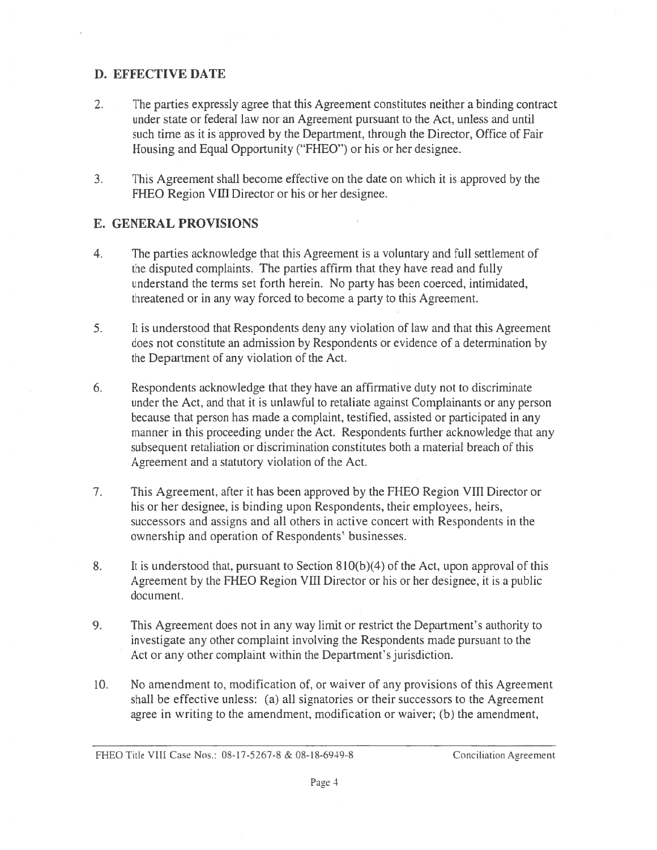## D. EFFECTIVE DATE D. EFFECTIVE DATE

- 2. The parties expressly agree that this Agreement constitutes neither a binding contract 2. The parties expressly agree that this Agreement constitutes neither a binding contract under state or federal law nor an Agreement pursuant to the Act, unless and until under state or federal law nor an Agreement pursuant to the Act, unless and until such time as it is approved by the Department, through the Director, Office of Fair Housing and Equal Opportunity ("FHEO") or his or her designee. Housing and Equal Opportunity ("FHEO") or his or her designee.
- 3. This Agreement shall become effective on the date on which it is approved by the 3. This Agreement shall become effective on the date on which it is approved by the FHEO Region VIII Director or his or her designee.

## E. GENERAL PROVISIONS E. GENERAL PROVISIONS

- 4. The parties acknowledge that this Agreement is a voluntary and full settlement of 4. The parties acknowledge that this Agreement is a voluntary and full settlement of the disputed complaints. The parties affirm that they have read and fully the disputed complaints. The parties affirm that they have read and fully understand the terms set forth herein. No party has been coerced, intimidated, understand the terms set forth herein. No party has been coerced, intimidated, threatened or in any way forced to become a party to this Agreement. threatened or in any way forced to become a party to this Agreement.
- 5. It is understood that Respondents deny any violation of law and that this Agreement 5. It is understood that Respondents deny any violation of law and that this Agreement does not constitute an admission by Respondents or evidence of a determination by does not constitute an admission by Respondents or evidence of a determination by the Department of any violation of the Act. the Department of any violation of the Act.
- 6. Respondents acknowledge that they have an affirmative duty not to discriminate 6. Respondents acknowledge that they have an affirmative duty not to discriminate under the Act, and that it is unlawful to retaliate against Complainants or any person under the Act, and that it is unlawful to retaliate against Complainants or any person because that person has made a complaint, testified, assisted or participated in any because that person has made a complaint, testified, assisted or participated in any manner in this proceeding under the Act. Respondents further acknowledge that any manner in this proceeding under the Act, Respondents further acknowledge that any subsequent retaliation or discrimination constitutes both a material breach of this subsequent retaliation or discrimination constitutes both a material breach of this Agreement and a statutory violation of the Act. Agreement and a statutory violation of the Act.
- 7. This Agreement, after it has been approved by the FHEO Region VIII Director or 7. This Agreement, after it has been approved by the FHEO Region VIII Director or his or her designee, is binding upon Respondents, their employees, heirs, successors and assigns and all others in active concert with Respondents in the successors and assigns and all others in active concert with Respondents in the ownership and operation of Respondents' businesses.
- 8. It is understood that, pursuant to Section 810(b)(4) of the Act, upon approval of this 8. It is understood that, pursuant to Section 8lO(b)(4) of the Act, upon approval of this Agreement by the FHEO Region VIII Director or his or her designee, it is a public Agreement by the FHEO Region VIII Director or his or her designee, it is a public document.
- 9. This Agreement does not in any way limit or restrict the Department's authority to 9. This Agreement does not in any way limit or restrict the Department's authority to investigate any other complaint involving the Respondents made pursuant to the investigate any other complaint involving the Respondents made pursuant to the Act or any other complaint within the Department's jurisdiction.
- 10. No amendment to, modification of, or waiver of any provisions of this Agreement 10. No amendment to, modification of, or waiver of any provisions of this Agreement shall be effective unless: (a) all signatories or their successors to the Agreement agree in writing to the amendment, modification or waiver; (b) the amendment, agree in writing to the amendment, modification or waiver; (b) the amendment,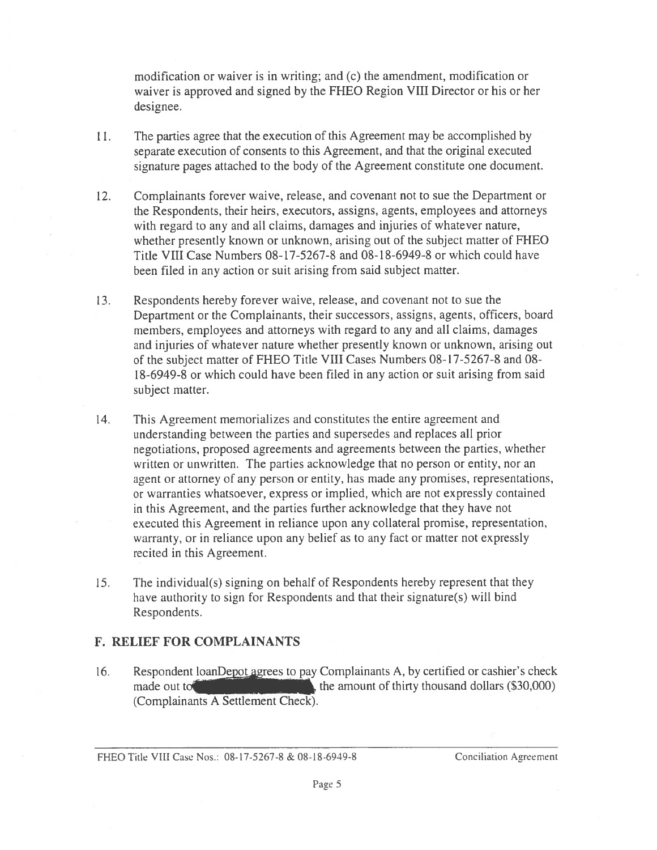modification or waiver is in writing; and (c) the amendment, modification or modification or waiver is in writing; and (c) the amendment, modification or waiver is approved and signed by the FHEO Region VIII Director or his or her designee. designee.

- 11. The parties agree that the execution of this Agreement may be accomplished by 11. The parties agree that the execution of this Agreement may be accomplished by separate execution of consents to this Agreement, and that the original executed separate execution of consents to this Agreement, and that the original executed signature pages attached to the body of the Agreement constitute one document. signature pages attached to the body of the Agreement constitute one document.
- 12. Complainants forever waive, release, and covenant not to sue the Department or 12. Complainants forever waive, release, and covenant not to sue the Department or the Respondents, their heirs, executors, assigns, agents, employees and attorneys the Respondents, their heirs, executors, assigns, agents, employees and attorneys with regard to any and all claims, damages and injuries of whatever nature, with regard to any and all claims, damages and injuries of whatever nature, whether presently known or unknown, arising out of the subject matter of FHEO whether presently known or unknown, arising out of the subject matter of FHEO Title VIII Case Numbers 08-17-5267-8 and 08-18-6949-8 or which could have Title VIII Case Numbers 08-17-5267-8 and 08-18-6949-8 or which could have been filed in any action or suit arising from said subject matter. been filed in any action or suit arising from said subject matter.
- 13. Respondents hereby forever waive, release, and covenant not to sue the 13. Respondents hereby forever waive, retease, and covenant not to sue the Department or the Complainants, their successors, assigns, agents, officers, board Department or the Complainants, their successors, assigns, agents, officers, board members, employees and attorneys with regard to any and all claims, damages members, employees and attorneys with regard to any and all claims, damages and injuries of whatever nature whether presently known or unknown, arising out and injuries of whatever nature whether presently known or unknown, arising out of the subject matter of FHEO Title VIII Cases Numbers 08-17-5267-8 and 08- of the subject matter of FHEO Title VIII Cases Numbers 08-17-5267-8 and 08- 18-6949-8 or which could have been filed in any action or suit arising from said 18-6949-8 or which could have been filed in any action or suit arising from said subject matter. subject matter.
- 14. This Agreement memorializes and constitutes the entire agreement and 14. This Agreement memorializes and constitutes the entire agreement and understanding between the parties and supersedes and replaces all prior tinderstanding between the parties and supersedes and replaces all prior negotiations, proposed agreements and agreements between the parties, whether negotiations, proposed agreements and agreements between the parties, whether written or unwritten. The parties acknowledge that no person or entity, nor an written or unwritten. The parties acknowledge that no person or entity, nor an agent or attorney of any person or entity, has made any promises, representations, agent or attorney of any person or entity, has made any promises, representations, or warranties whatsoever, express or implied, which are not expressly contained or warranties whatsoever, express or implied, which are not expressly contained in this Agreement, and the parties further acknowledge that they have not in this Agreement, and the parties further acknowledge that they have not executed this Agreement in reliance upon any collateral promise, representation, executed this Agreement in reliance upon any collateral promise, representation, warranty, or in reliance upon any belief as to any fact or matter not expressly warranty, or in reLiance upon any belief as to any fact or matter not expressly recited in this Agreement.
- 15. The individual(s) signing on behalf of Respondents hereby represent that they 15. The individual(s) signing on behalf of Respondents hereby represent that they have authority to sign for Respondents and that their signature(s) will bind have authority to sign for Respondents and that their signature(s) will bind Respondents. Respondents.

#### F. RELIEF FOR COMPLAINANTS F. RELIEF FOR COMPLAINANTS

16. Respondent loanDepot agrees to pay Complainants A, by certified or cashier's check made out to  $\sim$   $\mu$ , the amount of thirty thousand dollars (\$30,000) (Complainants A Settlement Check). (Complainants A Settlement Check).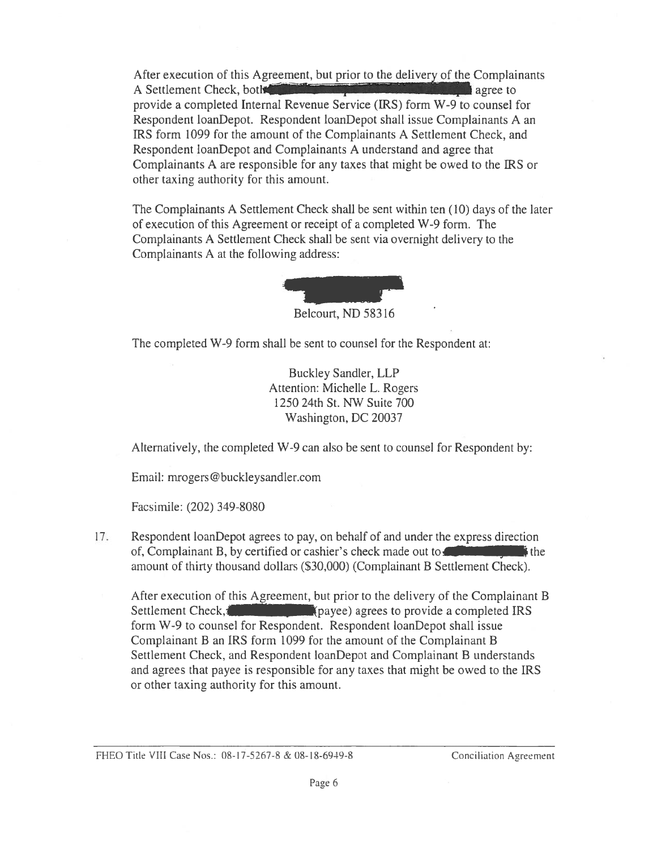After execution of this Agreement, but prior to the delivery of the Complainants A Settlement Check, both agree to agree to provide a completed Internal Revenue Service (IRS) form W-9 to counsel for provide a completed Internal Revenue Service (IRS) form W-9 to counsel for Respondent loanDepot. Respondent loanDepot shall issue Complainants A an Respondent loanDepot. Respondent toanDepot shall issue Complainants A an IRS form 1099 for the amount of the Complainants A Settlement Check, and IRS form 1099 for the amount of the Complainants A Settlement Check, and Respondent loanDepot and Complainants A understand and agree that Respondent loanDepot and Complainants A Linderstand and agree that Complainants A are responsible for any taxes that might be owed to the IRS or Complainants A are responsible for any taxes that might be owed to the IRS or other taxing authority for this amount.

The Complainants A Settlement Check shall be sent within ten (10) days of the later The Complainants A Settlement Check shall be sent within ten (10) days of the later of execution of this Agreement or receipt of a completed W-9 form. The Complainants A Settlement Check shall be sent via overnight delivery to the Complainants A at the following address: Complainants A at the following address:



Belcourt, ND 58316 Belcourt, ND 58316

The completed W-9 form shall be sent to counsel for the Respondent at: The completed W-9 form shall be sent to counsel for the Respondent at:

Buckley Sandler, LLP Buckley Sandier, LLP Attention: Michelle L. Rogers Attention: Michelle L. Rogers 1250 24th St. NW Suite 700 1250 24th St. NW Suite 700 Washington, DC 20037 Washington, DC 20037

Alternatively, the completed W-9 can also be sent to counsel for Respondent by: Alternatively, the completed W-9 can also be sent to counsel for Respondent by:

Email: mrogers@buckleysandler.com Email: mrogers@huckleysandler.com

Facsimile: (202) 349-8080 facsimile: (202) 349-8080

17. Respondent loanDepot agrees to pay, on behalf of and under the express direction 17. Respondent loanDepot agrees to pay, on behalf of and under the express direction of, Complainant B, by certified or cashier's check made out to  $\frac{1}{11}$  is the amount of thirty thousand dollars (\$30,000) (Complainant B Settlement Check). amount of thirty thousand dollars (\$30,000) (Complainant B Settlement Check). Respondent loanDepot agrees to pay, on behalf of and under the express direction<br>of, Complainant B, by certified or cashier's check made out to

After execution of this Agreement, but prior to the delivery of the Complainant B After execution of this Agreement, but prior to the delivery of the Complainant B Settlement Check, **and a complete in the settlement** (payee) agrees to provide a completed IRS form W-9 to counsel for Respondent. Respondent loanDepot shall issue form W-9 to counsel for Respondent. Respondent loanDepot shalt issue Complainant B an IRS form 1099 for the amount of the Complainant B Complainant B an IRS form 1099 for the amount of the Complainant B Settlement Check, and Respondent loanDepot and Complainant B understands Settlement Check, and Respondent loanDepot and Complainant B understands and agrees that payee is responsible for any taxes that might be owed to the IRS and agrees that payee is responsible for any taxes that might be owed to the IRS or other taxing authority for this amount. or other taxing authority for this amount.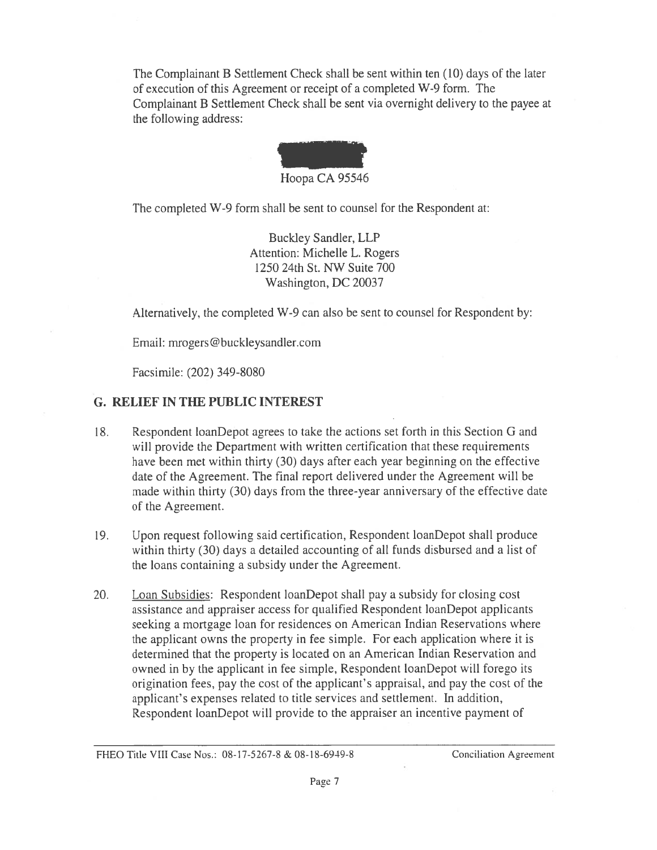The Complainant B Settlement Check shall be sent within ten (10) days of the later The Complainant B Settlement Check shall be sent within ten (10) days of the later of execution of this Agreement or receipt of a completed W-9 form. The Complainant B Settlement Check shall be sent via overnight delivery to the payee at Complainant B Settlement Check shall be sent via overnight delivery to the payee at the following address: the following address:



The completed W-9 form shall be sent to counsel for the Respondent at: The completed W-9 form shall be sent to counsel for the Respondent at:

Buckley Sandler, LLP Buckley Sandier, LLP Attention: Michelle L. Rogers Attention: Michelle L. Rogers 1250 24th St. NW Suite 700 1250 24th St. NW Suite 700 Washington, DC 20037 Washington, DC 20037

Alternatively, the completed W-9 can also be sent to counsel for Respondent by: Alternatively, the completed W-9 can also be sent to counsel for Respondent by:

Email: mrogers@buckleysandler.com Email: mrogers@buckleysandler.com

Facsimile: (202) 349-8080 Facsimile: (202) 349-8080

## G. RELIEF IN THE PUBLIC INTEREST G. RELIEF IN THE PUBLIC INTEREST

- 18. Respondent loanDepot agrees to take the actions set forth in this Section G and 18. Respondent loanDepot agrees to take the actions set forth in this Section G and will provide the Department with written certification that these requirements will provide the Department with written certification that these requirements have been met within thirty (30) days after each year beginning on the effective have been met within thirty (30) days after each year beginning on the effective date of the Agreement. The final report delivered under the Agreement will be date of the Agreement. The final report delivered under the Agreement will be made within thirty (30) days from the three-year anniversary of the effective date made within thirty (30) days from the three-year anniversary of the effective date of the Agreement. of the Agreement.
- 19. Upon request following said certification, Respondent loanDepot shall produce within thirty (30) days a detailed accounting of all funds disbursed and a list of within thirty (30) days a detailed accounting of all funds disbursed and a list of the loans containing a subsidy under the Agreement. the loans containing a subsidy under the Agreement.
- 20. Loan Subsidies: Respondent loanDepot shall pay a subsidy for closing cost assistance and appraiser access for qualified Respondent loanDepot applicants assistance and appraiser access for qualified Respondent loanDepot applicants seeking a mortgage loan for residences on American Indian Reservations where seeking a mortgage loan for residences on American Indian Reservations where the applicant owns the property in fee simple. For each application where it is the applicant owns the property in fee simple. For each application where it is determined that the property is located on an American Indian Reservation and determined that the property is located on an American Indian Reservation and owned in by the applicant in fee simple, Respondent loanDepot will forego its origination fees, pay the cost of the applicant's appraisal, and pay the cost of the origination fees, pay the cost of the applicant's appraisal, and pay the cost of the applicant's expenses related to title services and settlement. In addition, applicant's expenses related to title services and settlement. In addition, Respondent loanDepot will provide to the appraiser an incentive payment of Respondent loanDepot will provide to the appraiser an incentive payment of

FHEO Title VIII Case Nos.: 08-17-5267-8 & 08-18-6949-8 Conciliation Agreement FHEO Title VIII Case Nos.: 08-17-5267-8 & 08-18-6949-8 Conciliation Agreement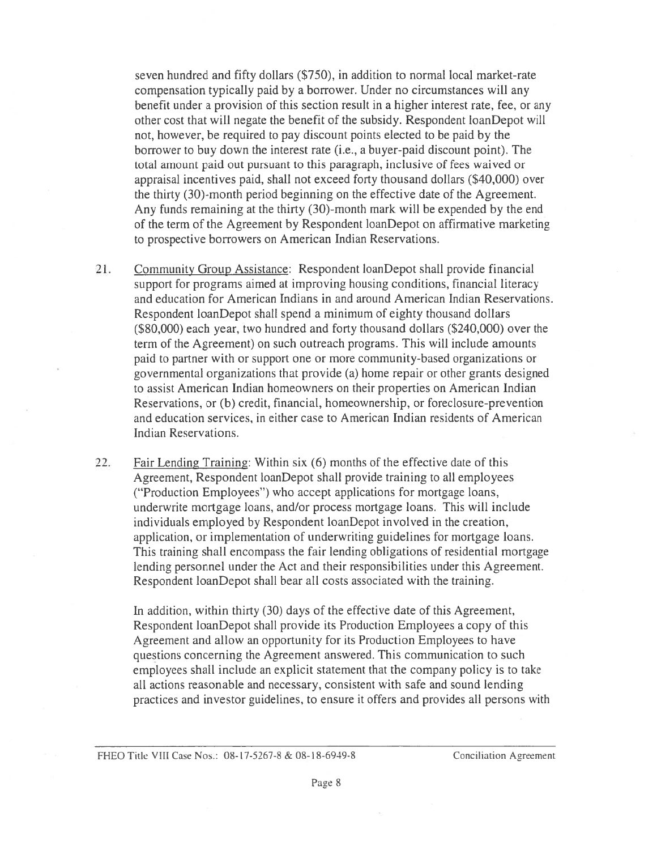seven hundred and fifty dollars (\$750), in addition to normal local market-rate seven hundred and fifty dollars (\$750), in addition to normal local market-rate compensation typically paid by a borrower. Under no circumstances will any compensation typically paid by a borrower. Under no circumstances will any benefit under a provision of this section result in a higher interest rate, fee, or any benefit under a provision of this section result in a higher interest rate, fee, or any other cost that will negate the benefit of the subsidy. Respondent loanDepot will not, however, be required to pay discount points elected to be paid by the not, however, be required to pay discount points elected to be paid by the borrower to buy down the interest rate (i.e., a buyer-paid discount point). The borrower to buy down the interest rate (i.e., a buyer-paid discount point). The total amount paid out pursuant to this paragraph, inclusive of fees waived or total amount paid out pursuant to this paragraph, inclusive of fees waived or appraisal incentives paid, shall not exceed forty thousand dollars (\$40,000) over appraisal incentives paid, shall not exceed forty thousand dollars (\$40,000) over the thirty (30)-month period beginning on the effective date of the Agreement. the thirty (30)-month period beginning on the effective date of the Agreement. Any funds remaining at the thirty (30)-month mark will be expended by the end Any funds remaining at the thirty (30)-month mark will be expended by the end of the term of the Agreement by Respondent loanDepot on affirmative marketing to prospective borrowers on American Indian Reservations. to prospective borrowers on American Indian Reservations.

21. Community Group Assistance: Respondent loanDepot shall provide financial 21. Community Group Assistance: Respondent loanDepot shall provide financial support for programs aimed at improving housing conditions, financial literacy support for programs aimed at improving hocising conditions, financial literacy and education for American Indians in and around American Indian Reservations. and education for American Indians in and around American Indian Reservations. Respondent loanDepot shall spend a minimum of eighty thousand dollars Respondent loanDepot shall spend a minimum of eighty thousand dollars (\$80,000) each year, two hundred and forty thousand dollars (\$240,000) over the (\$80,000) each year, two hundred and forty thousand dollars (\$240,000) over the term of the Agreement) on such outreach programs. This will include amounts term of the Agreement) on such outreach programs. This will include amounts paid to partner with or support one or more community-based organizations or paid to partner with or support one or more community-based organizations or governmental organizations that provide (a) home repair or other grants designed governmental organizations that provide (a) home repair or other grants designed to assist American Indian homeowners on their properties on American Indian to assist American Indian homeowners on their properties on American Indian Reservations, or (b) credit, financial, homeownership, or foreclosure-prevention Reservations, or (b) credit, financial, homeownership, or foreclosure-prevention and education services, in either case to American Indian residents of American and education services, in either case to American Indian residents of American Indian Reservations. Indian Reservations.

22. Fair Lending Training: Within six (6) months of the effective date of this Agreement, Respondent loanDepot shall provide training to all employees Agreement, Respondent loanDepot shall provide training to all employees ("Production Employees") who accept applications for mortgage loans, ("Production Employees") who accept applications for mortgage loans, underwrite mortgage loans, and/or process mortgage loans. This will include underwrite mortgage loans, and/or process mortgage loans. This will include individuals employed by Respondent loanDepot involved in the creation, individuals employed by Respondent loanDepot involved in the creation, application, or implementation of underwriting guidelines for mortgage loans. application, or implementation of underwriting guidelines for mortgage loans. This training shall encompass the fair lending obligations of residential mortgage This training shall encompass the fair lending obligations of residential mortgage lending personnel under the Act and their responsibilities under this Agreement. lending personnel under the Act and their responsibilities under this Agreement. Respondent loanDepot shall bear all costs associated with the training. Respondent loanDepot shall bear all costs associated with the training.

In addition, within thirty (30) days of the effective date of this Agreement, In addition, within thirty (30) days of the effective date of this Agreement, Respondent loanDepot shall provide its Production Employees a copy of this Respondent loanDepot shall provide its Production Employees a copy of this Agreement and allow an opportunity for its Production Employees to have Agreement and allow an opportunity for its Production Employees to have questions concerning the Agreement answered. This communication to such employees shall include an explicit statement that the company policy is to take employees shall include an explicit statement that the company policy is to take all actions reasonable and necessary, consistent with safe and sound lending all actions reasonable and necessary, consistent with safe and sound lending practices and investor guidelines, to ensure it offers and provides all persons with practices and investor guidelines, to ensure it offers and provides all persons with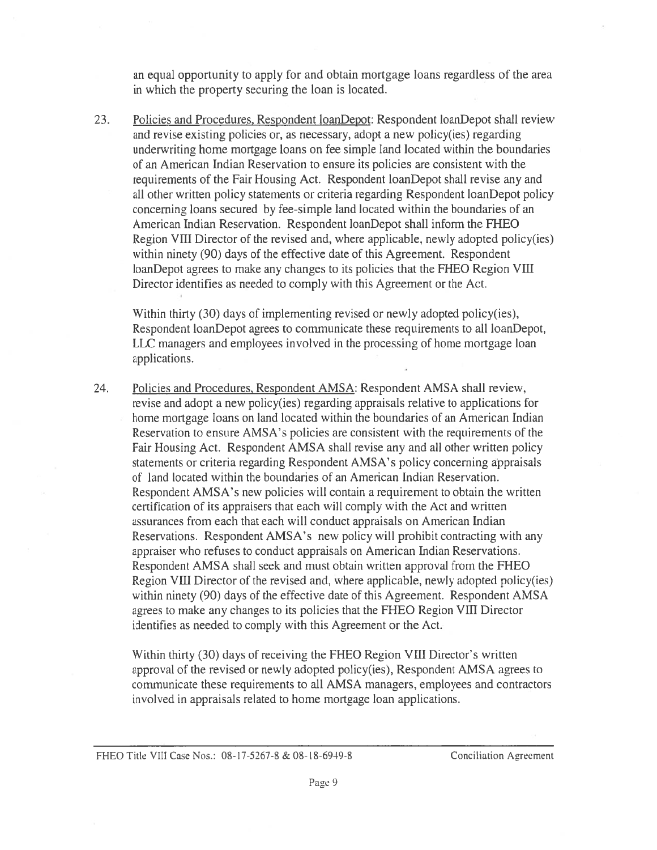an equal opportunity to apply for and obtain mortgage loans regardless of the area an equal opportunity to apply for and obtain mortgage loans regardless of the area in which the property securing the loan is located. in which the property securing the loan is located.

23. Policies and Procedures, Respondent loanDepot: Respondent loanDepot shall review and revise existing policies or, as necessary, adopt a new policy(ies) regarding and revise existing policies or, as necessary, adopt a new policy(ies) regarding underwriting home mortgage loans on fee simple land located within the boundaries underwriting home mortgage loans on fee simple land located within the boundaries of an American Indian Reservation to ensure its policies are consistent with the of an American Indian Reservation to ensure its policies are consistent with the requirements of the Fair Housing Act. Respondent loanDepot shall revise any and all other written policy statements or criteria regarding Respondent loanDepot policy all other written policy statements or criteria regarding Respondent loanDepot policy concerning loans secured by fee-simple land located within the boundaries of an concerning loans secured by fee-simple land located within the boundaries of an American Indian Reservation. Respondent loanDepot shall inform the FHEO American Indian Reservation. Respondent loanDepot shall inform the FHEO Region VIII Director of the revised and, where applicable, newly adopted policy(ies) Region VIII Director of the revised and, where applicable, newly adopted policy(ies) within ninety (90) days of the effective date of this Agreement. Respondent within ninety (90) days of the effective date of this Agreement. Respondent loanDepot agrees to make any changes to its policies that the FHEO Region VIII loanDepot agrees to make any changes to its policies that the FHEO Region VIII Director identifies as needed to comply with this Agreement or the Act. Director identifies as needed to comply with this Agreement or the Act.

Within thirty (30) days of implementing revised or newly adopted policy(ies), Within thirty (30) days of implementing revised or newly adopted policy(ies), Respondent loanDepot agrees to communicate these requirements to all loanDepot, LLC managers and employees involved in the processing of home mortgage loan LLC managers and employees involved in the processing of home mortgage loan applications. applications.

24. Policies and Procedures, Respondent AMSA: Respondent AMSA shall review, revise and adopt a new policy(ies) regarding appraisals relative to applications for revise and adopt a new policy(ies) regarding appraisals relative to applications for home mortgage loans on land located within the boundaries of an American Indian home mortgage loans on land located within the boundaries of an American Indian Reservation to ensure AMSA's policies are consistent with the requirements of the Reservation to ensure AMSA's policies are consistent with the requirements of the Fair Housing Act. Respondent AMSA shall revise any and all other written policy Fair Housing Act. Respondent AMSA shall revise any and all other written policy statements or criteria regarding Respondent AMSA's policy concerning appraisals statements or criteria regarding Respondent AMSA's policy concerning appraisals of land located within the boundaries of an American Indian Reservation. of land located within the boundaries of an American Indian Reservation. Respondent AMSA's new policies will contain a requirement to obtain the written Respondent AMSA's new policies will contain a requirement to obtain the written certification of its appraisers that each will comply with the Act and written certification of its appraisers that each will comply with the Act and written assurances from each that each will conduct appraisals on American Indian assurances from each that each will conduct appraisals on American Indian Reservations. Respondent AMSA's new policy will prohibit contracting with any appraiser who refuses to conduct appraisals on American Indian Reservations. Respondent AMSA shall seek and must obtain written approval from the FHEO Respondent AMSA shall seek and must obtain written approval from the FHEO Region VIII Director of the revised and, where applicable, newly adopted policy(ies) Region VIII Director of the revised and, where applicable, newly adopted policy(ies) within ninety (90) days of the effective date of this Agreement. Respondent AMSA within ninety (90) days of the effective date of this Agreement. Respondent AMSA agrees to make any changes to its policies that the FHEO Region VIII Director agrees to make any changes to its policies that the FHEO Region VIII Director identifies as needed to comply with this Agreement or the Act. identifies as needed to comply with this Agreement or the Act.

Within thirty (30) days of receiving the FHEO Region VIII Director's written Within thirty (30) days of receiving the FHEO Region VIII Director's written approval of the revised or newly adopted policy(ies), Respondent AMSA agrees to approval of the revised or newly adopted policy(ies), Respondent AMSA agrees to communicate these requirements to all AMSA managers, employees and contractors communicate these requirements to all AMSA managers, employees and contractors involved in appraisals related to home mortgage loan applications. involved in appraisals related to home mortgage loan applications.

#### FHEO Title VIII Case Nos.: 08-17-5267-8 & 08-18-6949-8 Conciliation Agreement PHEO Title VIII Case Nos.: 08-17-5267-8 & 08-18-6949-8 Conciliation Acreement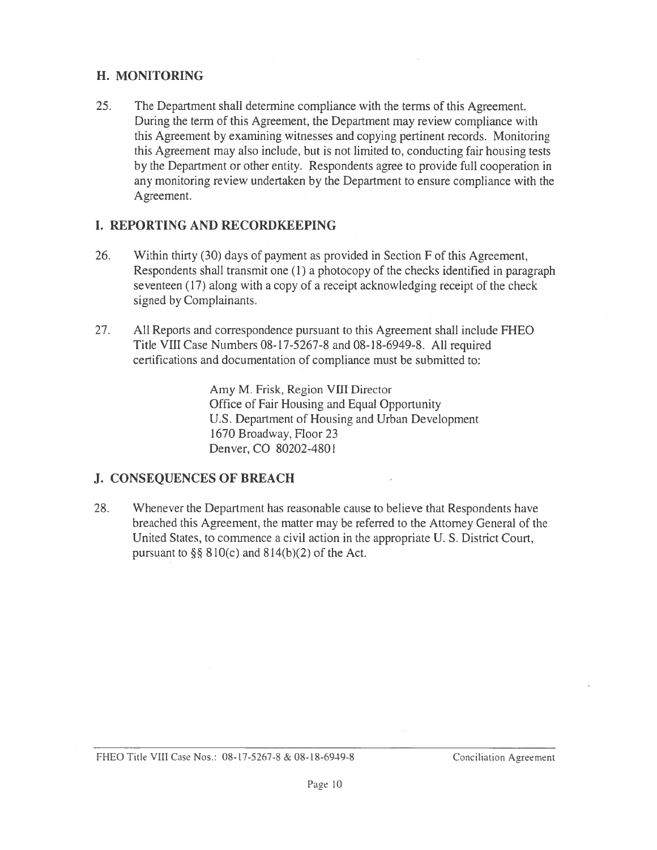## H. MONITORING H. MONITORING

25. The Department shall determine compliance with the terms of this Agreement. 25. The Department shall determine compliance with the terms of this Agreement. During the term of this Agreement, the Department may review compliance with During the term of this Agreement, the Department may review compliance with this Agreement by examining witnesses and copying pertinent records. Monitoring this Agreement by examining witnesses and copying pertinent records. Monitoring this Agreement may also include, but is not limited to, conducting fair housing tests this Agreement may also include, but is not limited to, conducting fair housing tests by the Department or other entity. Respondents agree to provide full cooperation in by the Department or other entity. Respondents agree to provide full cooperation in any monitoring review undertaken by the Department to ensure compliance with the any monitoring review undertaken by the Department to ensure compliance with the Agreement. Agreement.

## I. REPORTING AND RECORDKEEPING I. REPORTING AND RECORDKEEPING

- 26. Within thirty (30) days of payment as provided in Section F of this Agreement, 26. Within thirty (30) days of payment as provided in Section F of this Agreement, Respondents shall transmit one (1) a photocopy of the checks identified in paragraph Respondents shall transmit one (1) a photocopy of the checks identified in paragraph seventeen (17) along with a copy of a receipt acknowledging receipt of the check seventeen (17) along with a copy of a receipt acknowledging receipt of the check signed by Complainants. signed by Complainants.
- 27. All Reports and correspondence pursuant to this Agreement shall include FHEO 27. All Reports and correspondence pursuant to this Agreement shall include FHEO Title VIII Case Numbers 08-17-5267-8 and 08-18-6949-8. All required Title VIII Case Numbers 08-17-5267-8 and 08-18-6949-8. All required certifications and documentation of compliance must be submitted to: certifications and documentation of compliance must be submitted to:

Amy M. Frisk, Region VIII Director Amy M. Frisk, Region VIII Director Office of Fair Housing and Equal Opportunity Office of Fair Housing and Equal Opportunity U.S. Department of Housing and Urban Development U.S. Department of Housing and Urban Development 1670 Broadway, Floor 23 1670 Broadway, Floor 23 Denver, CO 80202-4801 Denver, CO 80202-4801

# J. CONSEQUENCES OF BREACH J. CONSEQUENCES OF BREACH

28. Whenever the Department has reasonable cause to believe that Respondents have 28. Whenever the Department has reasonable cause to believe that Respondents have breached this Agreement, the matter may be referred to the Attorney General of the breached this Agreement, the matter may be referred to the Attomey General of the United States, to commence a civil action in the appropriate U. S. District Court, United States, to commence a civil action in the appropriate U. S. District Court, pursuant to  $\S$ § 810(c) and 814(b)(2) of the Act.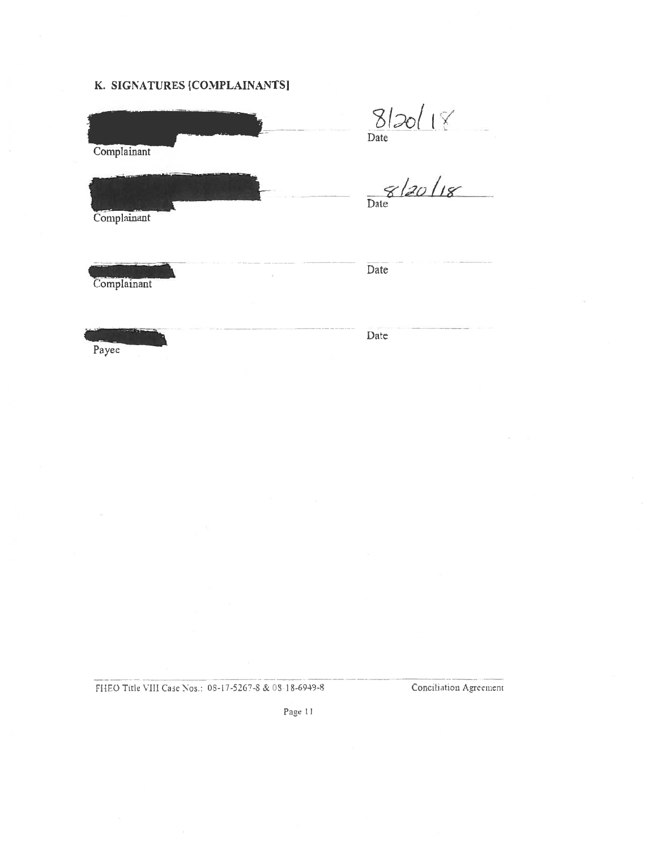#### K. SIGNATURES [COMPLAINANTS] K. SIGNATURES [COMPLAINANTSJ

| Complainant | 8/20/18<br>Date |
|-------------|-----------------|
| Complainant | 8/20/18         |
| Complainant | Date            |
| Payee       | Date            |

FIAEO Title VIII Case Nos.: 08-17-5267-8 & 08-18-6949-8 Conciliation Agreement ft{EO Title VIII Caje Nos.: 08-17-5267-S & OS-I 8-6949-S Conciliation Agreement

Page 11 Pace 11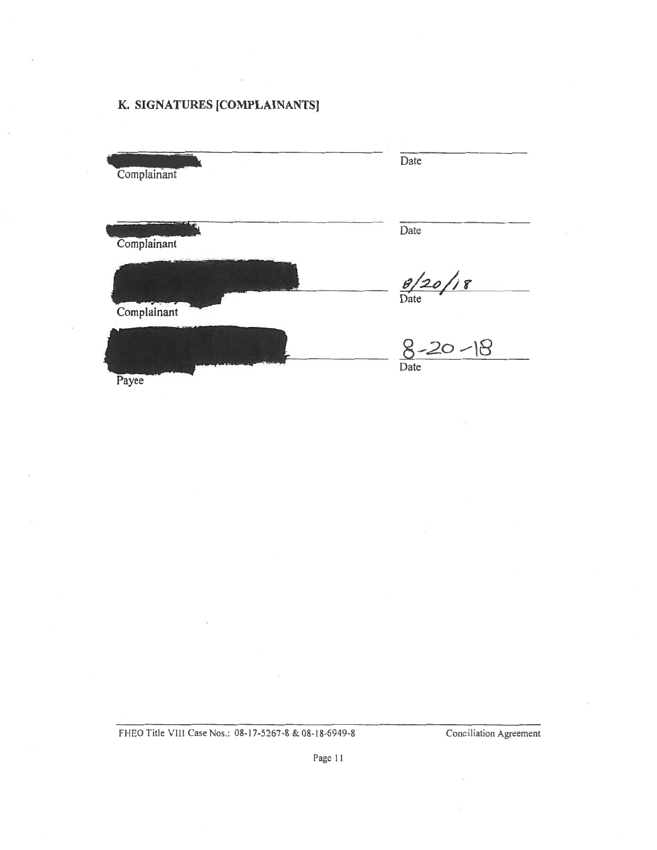#### K. SIGNATURES [COMPLAINANTS] K. SIGNATURES [COMPLAINANTS]

| <b>Complainant</b> | Date                  |
|--------------------|-----------------------|
| Complainant        | Date                  |
| Complainant        | $\frac{8}{20}$ /18    |
| Payee              | $8 - 20 - 18$<br>Date |

FHEO Title VIII Case Nos.: 08-17-5267-8 & 08-18-6949-8 Conciliation Agreement

Page 11 Page II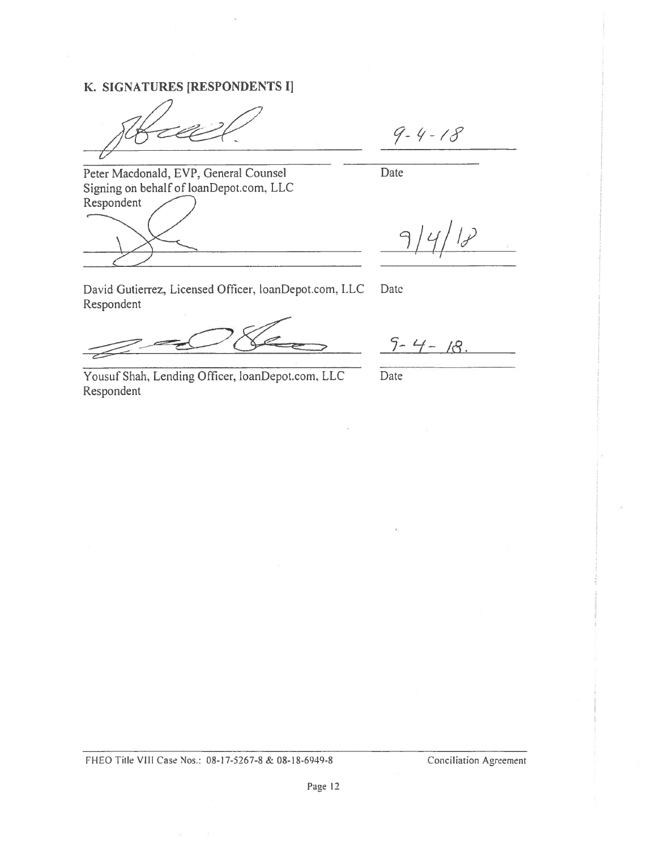## K. SIGNATURES [RESPONDENTS I] K. SIGNATURES [RESPONDENTS I]

 $9 - 4 - 18$ 

Peter Macdonald, EVP, General Counsel Peter Macdonald, EVP. General Counsel Signing on behalf of loanDepot.com. LLC Signing on behalf of loanDepot.com. LLC Respondent Respondent

Date Date

 $\mathcal{P}$ 9

David Gutierrez, Licensed Officer, loanDepot.com, LLC Date Respondent Respondent

Yousuf Shah, Lending Officer, loanDepot.com, LLC Date Respondent Respondent

Date

 $9 - 4 - 18$ .

Date

FHEO Title VIII Case Nos.: 08-17-5267-8 & 08-18-6949-8 Conciliation Agreement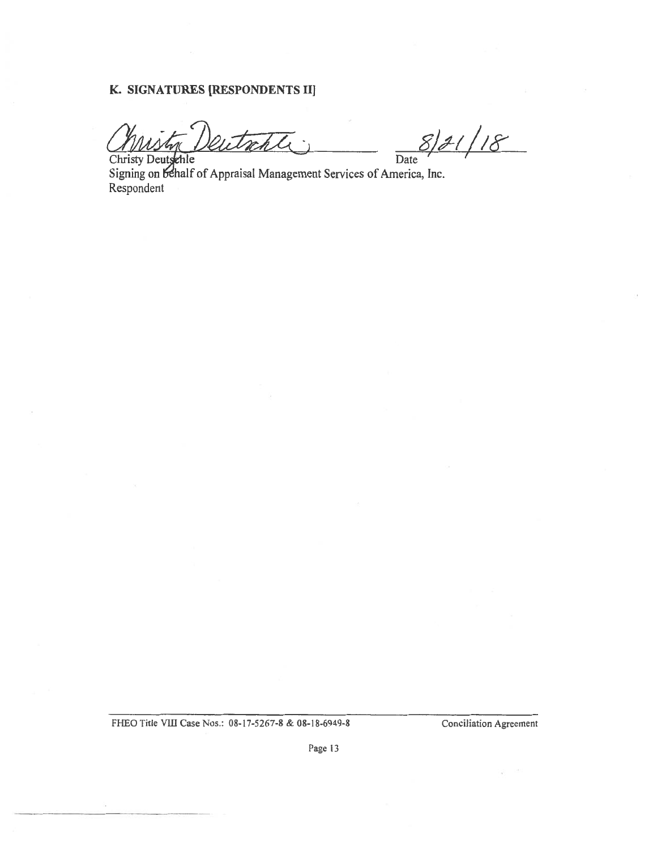#### K. SIGNATURES [RESPONDENTS II]

Christy Deutschle Date

 $S/J/18$ 

Signing on behalf of Appraisal Management Services of America, Inc. Respondent Respondent

FHEO Title VIII Case Nos.: 08-17-5267-8 & 08-18-6949-8 Conciliation Agreement

Page 13